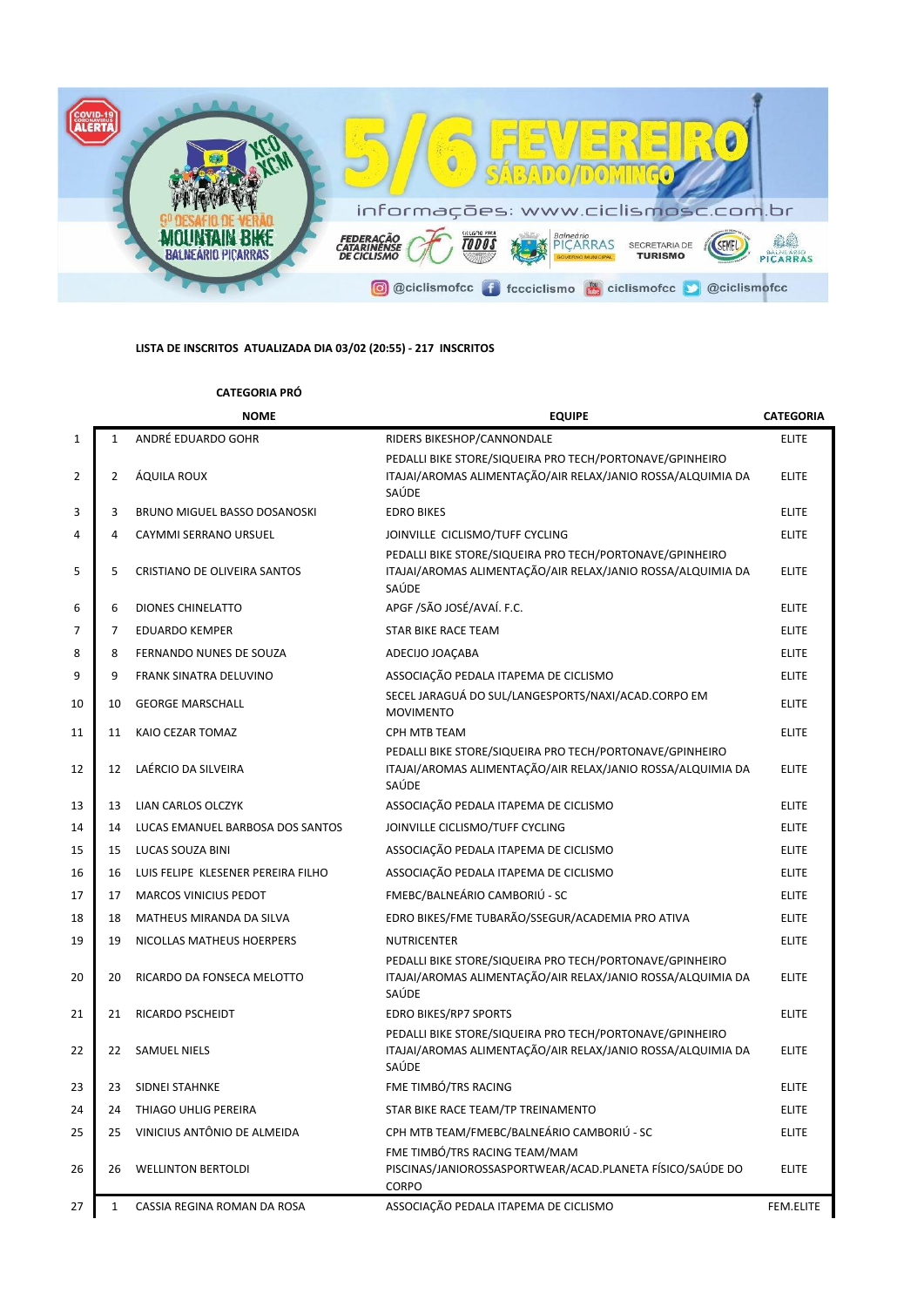

## **LISTA DE INSCRITOS ATUALIZADA DIA 03/02 (20:55) - 217 INSCRITOS**

## **CATEGORIA PRÓ**

|                |                | <b>NOME</b>                         | <b>EQUIPE</b>                                                                                                                    | <b>CATEGORIA</b> |
|----------------|----------------|-------------------------------------|----------------------------------------------------------------------------------------------------------------------------------|------------------|
| $\mathbf{1}$   | $\mathbf{1}$   | ANDRÉ EDUARDO GOHR                  | RIDERS BIKESHOP/CANNONDALE                                                                                                       | <b>ELITE</b>     |
| 2              | $\overline{2}$ | ÁQUILA ROUX                         | PEDALLI BIKE STORE/SIQUEIRA PRO TECH/PORTONAVE/GPINHEIRO<br>ITAJAI/AROMAS ALIMENTAÇÃO/AIR RELAX/JANIO ROSSA/ALQUIMIA DA<br>SAÚDE | <b>ELITE</b>     |
| 3              | 3              | BRUNO MIGUEL BASSO DOSANOSKI        | <b>EDRO BIKES</b>                                                                                                                | <b>ELITE</b>     |
| 4              | 4              | CAYMMI SERRANO URSUEL               | JOINVILLE CICLISMO/TUFF CYCLING                                                                                                  | <b>ELITE</b>     |
| 5              | 5              | <b>CRISTIANO DE OLIVEIRA SANTOS</b> | PEDALLI BIKE STORE/SIQUEIRA PRO TECH/PORTONAVE/GPINHEIRO<br>ITAJAI/AROMAS ALIMENTAÇÃO/AIR RELAX/JANIO ROSSA/ALQUIMIA DA<br>SAÚDE | <b>ELITE</b>     |
| 6              | 6              | <b>DIONES CHINELATTO</b>            | APGF /SÃO JOSÉ/AVAÍ. F.C.                                                                                                        | <b>ELITE</b>     |
| $\overline{7}$ | $\overline{7}$ | <b>EDUARDO KEMPER</b>               | <b>STAR BIKE RACE TEAM</b>                                                                                                       | <b>ELITE</b>     |
| 8              | 8              | FERNANDO NUNES DE SOUZA             | ADECIJO JOAÇABA                                                                                                                  | <b>ELITE</b>     |
| 9              | 9              | FRANK SINATRA DELUVINO              | ASSOCIAÇÃO PEDALA ITAPEMA DE CICLISMO                                                                                            | <b>ELITE</b>     |
| 10             | 10             | <b>GEORGE MARSCHALL</b>             | SECEL JARAGUÁ DO SUL/LANGESPORTS/NAXI/ACAD.CORPO EM<br><b>MOVIMENTO</b>                                                          | <b>ELITE</b>     |
| 11             | 11             | KAIO CEZAR TOMAZ                    | CPH MTB TEAM                                                                                                                     | <b>ELITE</b>     |
| 12             | 12             | LAÉRCIO DA SILVEIRA                 | PEDALLI BIKE STORE/SIQUEIRA PRO TECH/PORTONAVE/GPINHEIRO<br>ITAJAI/AROMAS ALIMENTAÇÃO/AIR RELAX/JANIO ROSSA/ALQUIMIA DA<br>SAÚDE | <b>ELITE</b>     |
| 13             | 13             | LIAN CARLOS OLCZYK                  | ASSOCIAÇÃO PEDALA ITAPEMA DE CICLISMO                                                                                            | <b>ELITE</b>     |
| 14             | 14             | LUCAS EMANUEL BARBOSA DOS SANTOS    | JOINVILLE CICLISMO/TUFF CYCLING                                                                                                  | <b>ELITE</b>     |
| 15             | 15             | LUCAS SOUZA BINI                    | ASSOCIAÇÃO PEDALA ITAPEMA DE CICLISMO                                                                                            | <b>ELITE</b>     |
| 16             | 16             | LUIS FELIPE KLESENER PEREIRA FILHO  | ASSOCIAÇÃO PEDALA ITAPEMA DE CICLISMO                                                                                            | <b>ELITE</b>     |
| 17             | 17             | <b>MARCOS VINICIUS PEDOT</b>        | FMEBC/BALNEÁRIO CAMBORIÚ - SC                                                                                                    | <b>ELITE</b>     |
| 18             | 18             | MATHEUS MIRANDA DA SILVA            | EDRO BIKES/FME TUBARÃO/SSEGUR/ACADEMIA PRO ATIVA                                                                                 | <b>ELITE</b>     |
| 19             | 19             | NICOLLAS MATHEUS HOERPERS           | NUTRICENTER                                                                                                                      | <b>ELITE</b>     |
| 20             | 20             | RICARDO DA FONSECA MELOTTO          | PEDALLI BIKE STORE/SIQUEIRA PRO TECH/PORTONAVE/GPINHEIRO<br>ITAJAI/AROMAS ALIMENTAÇÃO/AIR RELAX/JANIO ROSSA/ALQUIMIA DA<br>SAÚDE | <b>ELITE</b>     |
| 21             | 21             | RICARDO PSCHEIDT                    | <b>EDRO BIKES/RP7 SPORTS</b>                                                                                                     | <b>ELITE</b>     |
| 22             | 22             | <b>SAMUEL NIELS</b>                 | PEDALLI BIKE STORE/SIQUEIRA PRO TECH/PORTONAVE/GPINHEIRO<br>ITAJAI/AROMAS ALIMENTAÇÃO/AIR RELAX/JANIO ROSSA/ALQUIMIA DA<br>SAÚDE | <b>ELITE</b>     |
| 23             | 23             | SIDNEI STAHNKE                      | FME TIMBÓ/TRS RACING                                                                                                             | <b>ELITE</b>     |
| 24             | 24             | THIAGO UHLIG PEREIRA                | STAR BIKE RACE TEAM/TP TREINAMENTO                                                                                               | <b>ELITE</b>     |
| 25             | 25             | VINICIUS ANTÔNIO DE ALMEIDA         | CPH MTB TEAM/FMEBC/BALNEÁRIO CAMBORIÚ - SC                                                                                       | <b>ELITE</b>     |
| 26             | 26             | <b>WELLINTON BERTOLDI</b>           | FME TIMBÓ/TRS RACING TEAM/MAM<br>PISCINAS/JANIOROSSASPORTWEAR/ACAD.PLANETA FÍSICO/SAÚDE DO<br>CORPO                              | <b>ELITE</b>     |
| 27             | 1              | CASSIA REGINA ROMAN DA ROSA         | ASSOCIAÇÃO PEDALA ITAPEMA DE CICLISMO                                                                                            | FEM.ELITE        |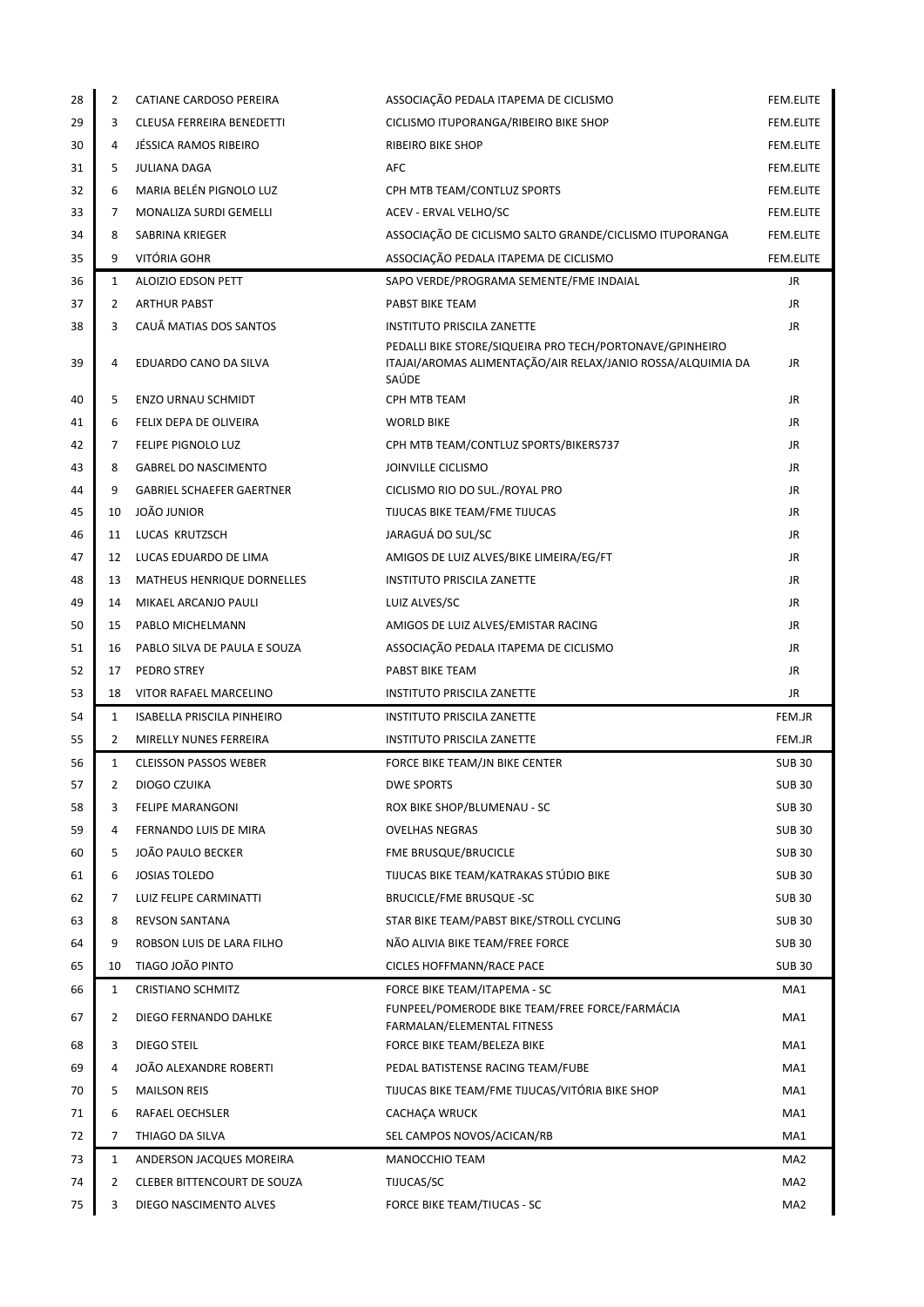| 28 | $\overline{2}$ | CATIANE CARDOSO PEREIRA           | ASSOCIAÇÃO PEDALA ITAPEMA DE CICLISMO                                                                                            | FEM.ELITE        |
|----|----------------|-----------------------------------|----------------------------------------------------------------------------------------------------------------------------------|------------------|
| 29 | 3              | CLEUSA FERREIRA BENEDETTI         | CICLISMO ITUPORANGA/RIBEIRO BIKE SHOP                                                                                            | FEM.ELITE        |
| 30 | 4              | JÉSSICA RAMOS RIBEIRO             | <b>RIBEIRO BIKE SHOP</b>                                                                                                         | FEM.ELITE        |
| 31 | 5              | <b>JULIANA DAGA</b>               | <b>AFC</b>                                                                                                                       | FEM.ELITE        |
| 32 | 6              | MARIA BELÉN PIGNOLO LUZ           | CPH MTB TEAM/CONTLUZ SPORTS                                                                                                      | FEM.ELITE        |
| 33 | 7              | MONALIZA SURDI GEMELLI            | ACEV - ERVAL VELHO/SC                                                                                                            | <b>FEM.ELITE</b> |
| 34 | 8              | SABRINA KRIEGER                   | ASSOCIAÇÃO DE CICLISMO SALTO GRANDE/CICLISMO ITUPORANGA                                                                          | <b>FEM.ELITE</b> |
| 35 | 9              | VITÓRIA GOHR                      | ASSOCIAÇÃO PEDALA ITAPEMA DE CICLISMO                                                                                            | FEM.ELITE        |
| 36 | $\mathbf{1}$   | <b>ALOIZIO EDSON PETT</b>         | SAPO VERDE/PROGRAMA SEMENTE/FME INDAIAL                                                                                          | JR               |
| 37 | 2              | <b>ARTHUR PABST</b>               | PABST BIKE TEAM                                                                                                                  | JR               |
| 38 | 3              | CAUÂ MATIAS DOS SANTOS            | <b>INSTITUTO PRISCILA ZANETTE</b>                                                                                                | JR               |
| 39 | 4              | EDUARDO CANO DA SILVA             | PEDALLI BIKE STORE/SIQUEIRA PRO TECH/PORTONAVE/GPINHEIRO<br>ITAJAI/AROMAS ALIMENTAÇÃO/AIR RELAX/JANIO ROSSA/ALQUIMIA DA<br>SAÚDE | JR               |
| 40 | 5              | <b>ENZO URNAU SCHMIDT</b>         | CPH MTB TEAM                                                                                                                     | JR               |
| 41 | 6              | FELIX DEPA DE OLIVEIRA            | <b>WORLD BIKE</b>                                                                                                                | JR               |
| 42 | 7              | FELIPE PIGNOLO LUZ                | CPH MTB TEAM/CONTLUZ SPORTS/BIKERS737                                                                                            | JR               |
| 43 | 8              | <b>GABREL DO NASCIMENTO</b>       | <b>JOINVILLE CICLISMO</b>                                                                                                        | JR               |
| 44 | 9              | <b>GABRIEL SCHAEFER GAERTNER</b>  | CICLISMO RIO DO SUL. / ROYAL PRO                                                                                                 | JR               |
| 45 | 10             | JOÃO JUNIOR                       | TIJUCAS BIKE TEAM/FME TIJUCAS                                                                                                    | JR               |
| 46 | 11             | LUCAS KRUTZSCH                    | JARAGUÁ DO SUL/SC                                                                                                                | JR               |
| 47 | 12             | LUCAS EDUARDO DE LIMA             | AMIGOS DE LUIZ ALVES/BIKE LIMEIRA/EG/FT                                                                                          | JR               |
| 48 | 13             | MATHEUS HENRIQUE DORNELLES        | <b>INSTITUTO PRISCILA ZANETTE</b>                                                                                                | JR               |
| 49 | 14             | MIKAEL ARCANJO PAULI              | LUIZ ALVES/SC                                                                                                                    | JR               |
| 50 | 15             | PABLO MICHELMANN                  | AMIGOS DE LUIZ ALVES/EMISTAR RACING                                                                                              | JR               |
| 51 | 16             | PABLO SILVA DE PAULA E SOUZA      | ASSOCIAÇÃO PEDALA ITAPEMA DE CICLISMO                                                                                            | JR               |
| 52 | 17             | PEDRO STREY                       | PABST BIKE TEAM                                                                                                                  | JR               |
| 53 | 18             | VITOR RAFAEL MARCELINO            | <b>INSTITUTO PRISCILA ZANETTE</b>                                                                                                | JR               |
| 54 | 1              | <b>ISABELLA PRISCILA PINHEIRO</b> | <b>INSTITUTO PRISCILA ZANETTE</b>                                                                                                | FEM.JR           |
| 55 | 2              | MIRELLY NUNES FERREIRA            | <b>INSTITUTO PRISCILA ZANETTE</b>                                                                                                | FEM.JR           |
| 56 | $\mathbf{1}$   | <b>CLEISSON PASSOS WEBER</b>      | FORCE BIKE TEAM/JN BIKE CENTER                                                                                                   | <b>SUB30</b>     |
| 57 | 2              | DIOGO CZUIKA                      | <b>DWE SPORTS</b>                                                                                                                | <b>SUB 30</b>    |
| 58 | 3              | FELIPE MARANGONI                  | ROX BIKE SHOP/BLUMENAU - SC                                                                                                      | <b>SUB 30</b>    |
| 59 | 4              | FERNANDO LUIS DE MIRA             | <b>OVELHAS NEGRAS</b>                                                                                                            | <b>SUB 30</b>    |
| 60 | 5              | JOÃO PAULO BECKER                 | FME BRUSQUE/BRUCICLE                                                                                                             | <b>SUB 30</b>    |
| 61 | 6              | JOSIAS TOLEDO                     | TIJUCAS BIKE TEAM/KATRAKAS STÚDIO BIKE                                                                                           | <b>SUB 30</b>    |
| 62 | 7              | LUIZ FELIPE CARMINATTI            | <b>BRUCICLE/FME BRUSQUE -SC</b>                                                                                                  | <b>SUB 30</b>    |
| 63 | 8              | <b>REVSON SANTANA</b>             | STAR BIKE TEAM/PABST BIKE/STROLL CYCLING                                                                                         | <b>SUB 30</b>    |
| 64 | 9              | ROBSON LUIS DE LARA FILHO         | NÃO ALIVIA BIKE TEAM/FREE FORCE                                                                                                  | <b>SUB30</b>     |
| 65 | 10             | TIAGO JOÃO PINTO                  | CICLES HOFFMANN/RACE PACE                                                                                                        | <b>SUB 30</b>    |
| 66 | 1              | <b>CRISTIANO SCHMITZ</b>          | FORCE BIKE TEAM/ITAPEMA - SC<br>FUNPEEL/POMERODE BIKE TEAM/FREE FORCE/FARMÁCIA                                                   | MA1              |
| 67 | 2              | DIEGO FERNANDO DAHLKE             | FARMALAN/ELEMENTAL FITNESS                                                                                                       | MA1              |
| 68 | 3              | DIEGO STEIL                       | FORCE BIKE TEAM/BELEZA BIKE                                                                                                      | MA1              |
| 69 | 4              | JOÃO ALEXANDRE ROBERTI            | PEDAL BATISTENSE RACING TEAM/FUBE                                                                                                | MA1              |
| 70 | 5              | <b>MAILSON REIS</b>               | TIJUCAS BIKE TEAM/FME TIJUCAS/VITÓRIA BIKE SHOP                                                                                  | MA1              |
| 71 | 6              | RAFAEL OECHSLER                   | CACHAÇA WRUCK                                                                                                                    | MA1              |
| 72 | 7              | THIAGO DA SILVA                   | SEL CAMPOS NOVOS/ACICAN/RB                                                                                                       | MA1              |
| 73 | 1              | ANDERSON JACQUES MOREIRA          | MANOCCHIO TEAM                                                                                                                   | MA <sub>2</sub>  |
| 74 | 2              | CLEBER BITTENCOURT DE SOUZA       | TIJUCAS/SC                                                                                                                       | MA2              |
| 75 | 3              | DIEGO NASCIMENTO ALVES            | FORCE BIKE TEAM/TIUCAS - SC                                                                                                      | MA <sub>2</sub>  |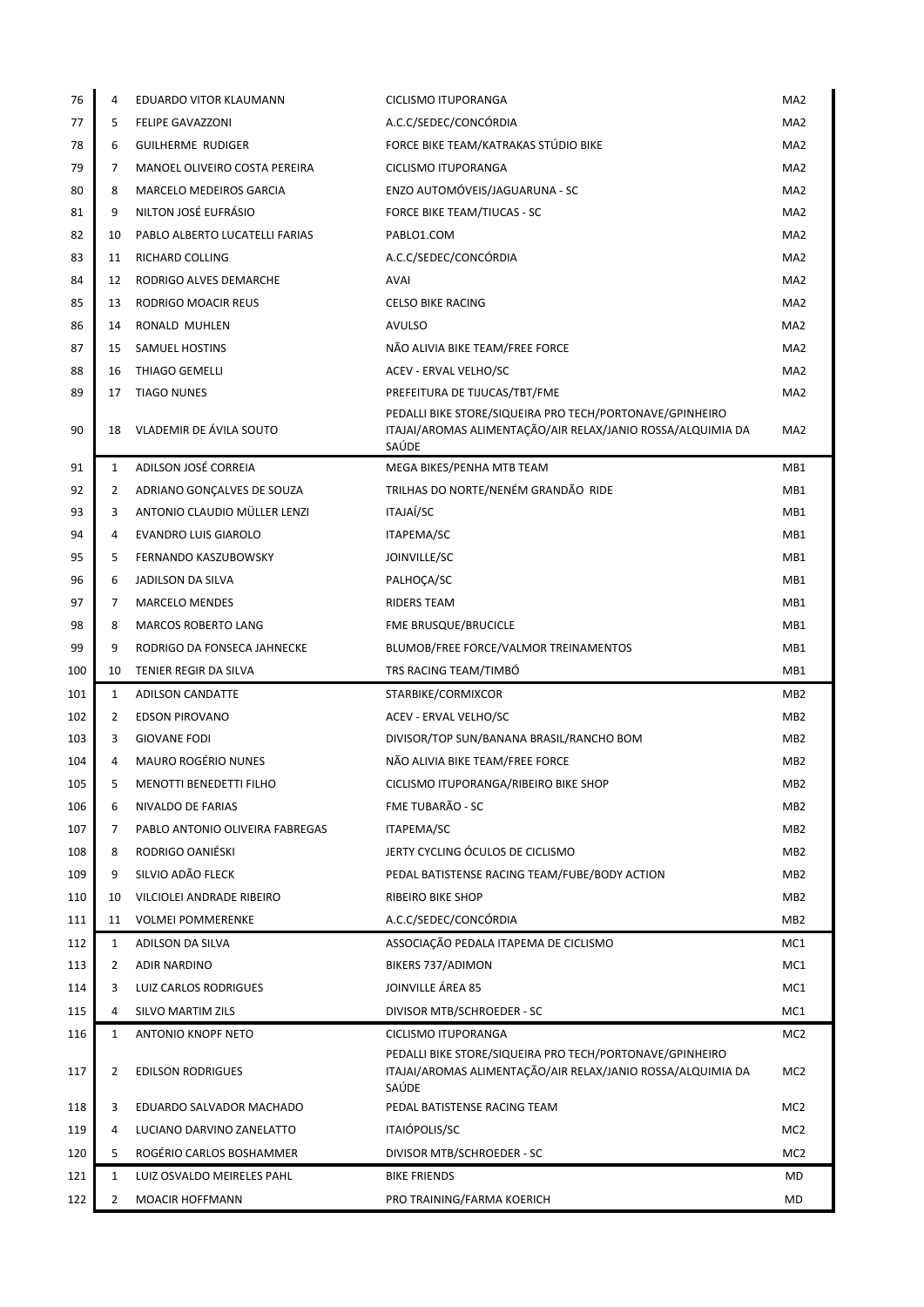| 76  | 4  | EDUARDO VITOR KLAUMANN          | CICLISMO ITUPORANGA                                                                                                              | MA <sub>2</sub> |
|-----|----|---------------------------------|----------------------------------------------------------------------------------------------------------------------------------|-----------------|
| 77  | 5  | <b>FELIPE GAVAZZONI</b>         | A.C.C/SEDEC/CONCÓRDIA                                                                                                            | MA2             |
| 78  | 6  | <b>GUILHERME RUDIGER</b>        | FORCE BIKE TEAM/KATRAKAS STÚDIO BIKE                                                                                             | MA <sub>2</sub> |
| 79  | 7  | MANOEL OLIVEIRO COSTA PEREIRA   | CICLISMO ITUPORANGA                                                                                                              | MA2             |
| 80  | 8  | <b>MARCELO MEDEIROS GARCIA</b>  | ENZO AUTOMÓVEIS/JAGUARUNA - SC                                                                                                   | MA2             |
| 81  | 9  | NILTON JOSÉ EUFRÁSIO            | FORCE BIKE TEAM/TIUCAS - SC                                                                                                      | MA2             |
| 82  | 10 | PABLO ALBERTO LUCATELLI FARIAS  | PABLO1.COM                                                                                                                       | MA2             |
| 83  | 11 | RICHARD COLLING                 | A.C.C/SEDEC/CONCÓRDIA                                                                                                            | MA <sub>2</sub> |
| 84  | 12 | RODRIGO ALVES DEMARCHE          | AVAI                                                                                                                             | MA2             |
| 85  | 13 | RODRIGO MOACIR REUS             | CELSO BIKE RACING                                                                                                                | MA <sub>2</sub> |
| 86  | 14 | RONALD MUHLEN                   | AVULSO                                                                                                                           | MA2             |
| 87  | 15 | SAMUEL HOSTINS                  | NÃO ALIVIA BIKE TEAM/FREE FORCE                                                                                                  | MA <sub>2</sub> |
| 88  | 16 | THIAGO GEMELLI                  | ACEV - ERVAL VELHO/SC                                                                                                            | MA <sub>2</sub> |
| 89  | 17 | <b>TIAGO NUNES</b>              | PREFEITURA DE TIJUCAS/TBT/FME                                                                                                    | MA <sub>2</sub> |
| 90  | 18 | VLADEMIR DE ÁVILA SOUTO         | PEDALLI BIKE STORE/SIQUEIRA PRO TECH/PORTONAVE/GPINHEIRO<br>ITAJAI/AROMAS ALIMENTAÇÃO/AIR RELAX/JANIO ROSSA/ALQUIMIA DA          | MA2             |
|     |    |                                 | SAÚDE                                                                                                                            |                 |
| 91  | 1  | ADILSON JOSÉ CORREIA            | MEGA BIKES/PENHA MTB TEAM                                                                                                        | MB1             |
| 92  | 2  | ADRIANO GONÇALVES DE SOUZA      | TRILHAS DO NORTE/NENÉM GRANDÃO RIDE                                                                                              | MB <sub>1</sub> |
| 93  | 3  | ANTONIO CLAUDIO MÜLLER LENZI    | <b>ITAJAÍ/SC</b>                                                                                                                 | MB1             |
| 94  | 4  | <b>EVANDRO LUIS GIAROLO</b>     | ITAPEMA/SC                                                                                                                       | MB1             |
| 95  | 5  | FERNANDO KASZUBOWSKY            | JOINVILLE/SC                                                                                                                     | MB1             |
| 96  | 6  | JADILSON DA SILVA               | PALHOÇA/SC                                                                                                                       | MB1             |
| 97  | 7  | <b>MARCELO MENDES</b>           | <b>RIDERS TEAM</b>                                                                                                               | MB1             |
| 98  | 8  | <b>MARCOS ROBERTO LANG</b>      | FME BRUSQUE/BRUCICLE                                                                                                             | MB1             |
| 99  | 9  | RODRIGO DA FONSECA JAHNECKE     | BLUMOB/FREE FORCE/VALMOR TREINAMENTOS                                                                                            | MB1             |
|     |    |                                 |                                                                                                                                  |                 |
| 100 | 10 | TENIER REGIR DA SILVA           | TRS RACING TEAM/TIMBÓ                                                                                                            | MB <sub>1</sub> |
| 101 | 1  | <b>ADILSON CANDATTE</b>         | STARBIKE/CORMIXCOR                                                                                                               | MB <sub>2</sub> |
| 102 | 2  | <b>EDSON PIROVANO</b>           | ACEV - ERVAL VELHO/SC                                                                                                            | MB2             |
| 103 | 3  | <b>GIOVANE FODI</b>             | DIVISOR/TOP SUN/BANANA BRASIL/RANCHO BOM                                                                                         | MB2             |
| 104 | 4  | <b>MAURO ROGÉRIO NUNES</b>      | NÃO ALIVIA BIKE TEAM/FREE FORCE                                                                                                  | MB <sub>2</sub> |
| 105 | 5  | MENOTTI BENEDETTI FILHO         | CICLISMO ITUPORANGA/RIBEIRO BIKE SHOP                                                                                            | MB <sub>2</sub> |
| 106 | 6  | NIVALDO DE FARIAS               | FME TUBARÃO - SC                                                                                                                 | MB <sub>2</sub> |
| 107 | 7  | PABLO ANTONIO OLIVEIRA FABREGAS | ITAPEMA/SC                                                                                                                       | MB <sub>2</sub> |
| 108 | 8  | RODRIGO OANIÉSKI                | JERTY CYCLING ÓCULOS DE CICLISMO                                                                                                 | MB <sub>2</sub> |
| 109 | 9  | SILVIO ADÃO FLECK               | PEDAL BATISTENSE RACING TEAM/FUBE/BODY ACTION                                                                                    | MB2             |
| 110 | 10 | VILCIOLEI ANDRADE RIBEIRO       | <b>RIBEIRO BIKE SHOP</b>                                                                                                         | MB <sub>2</sub> |
| 111 | 11 | <b>VOLMEI POMMERENKE</b>        | A.C.C/SEDEC/CONCÓRDIA                                                                                                            | MB <sub>2</sub> |
| 112 | 1  | <b>ADILSON DA SILVA</b>         | ASSOCIAÇÃO PEDALA ITAPEMA DE CICLISMO                                                                                            | MC1             |
| 113 | 2  | <b>ADIR NARDINO</b>             | BIKERS 737/ADIMON                                                                                                                | MC1             |
| 114 | 3  | LUIZ CARLOS RODRIGUES           | JOINVILLE ÁREA 85                                                                                                                | MC1             |
| 115 | 4  | SILVO MARTIM ZILS               | DIVISOR MTB/SCHROEDER - SC                                                                                                       | MC1             |
| 116 | 1  | <b>ANTONIO KNOPF NETO</b>       | CICLISMO ITUPORANGA                                                                                                              | MC2             |
| 117 | 2  | <b>EDILSON RODRIGUES</b>        | PEDALLI BIKE STORE/SIQUEIRA PRO TECH/PORTONAVE/GPINHEIRO<br>ITAJAI/AROMAS ALIMENTAÇÃO/AIR RELAX/JANIO ROSSA/ALQUIMIA DA<br>SAÚDE | MC <sub>2</sub> |
| 118 | 3  | EDUARDO SALVADOR MACHADO        | PEDAL BATISTENSE RACING TEAM                                                                                                     | MC <sub>2</sub> |
| 119 | 4  | LUCIANO DARVINO ZANELATTO       | ITAIÓPOLIS/SC                                                                                                                    | MC <sub>2</sub> |
| 120 | 5  | ROGÉRIO CARLOS BOSHAMMER        | DIVISOR MTB/SCHROEDER - SC                                                                                                       | MC <sub>2</sub> |
| 121 | 1  | LUIZ OSVALDO MEIRELES PAHL      | <b>BIKE FRIENDS</b>                                                                                                              | MD              |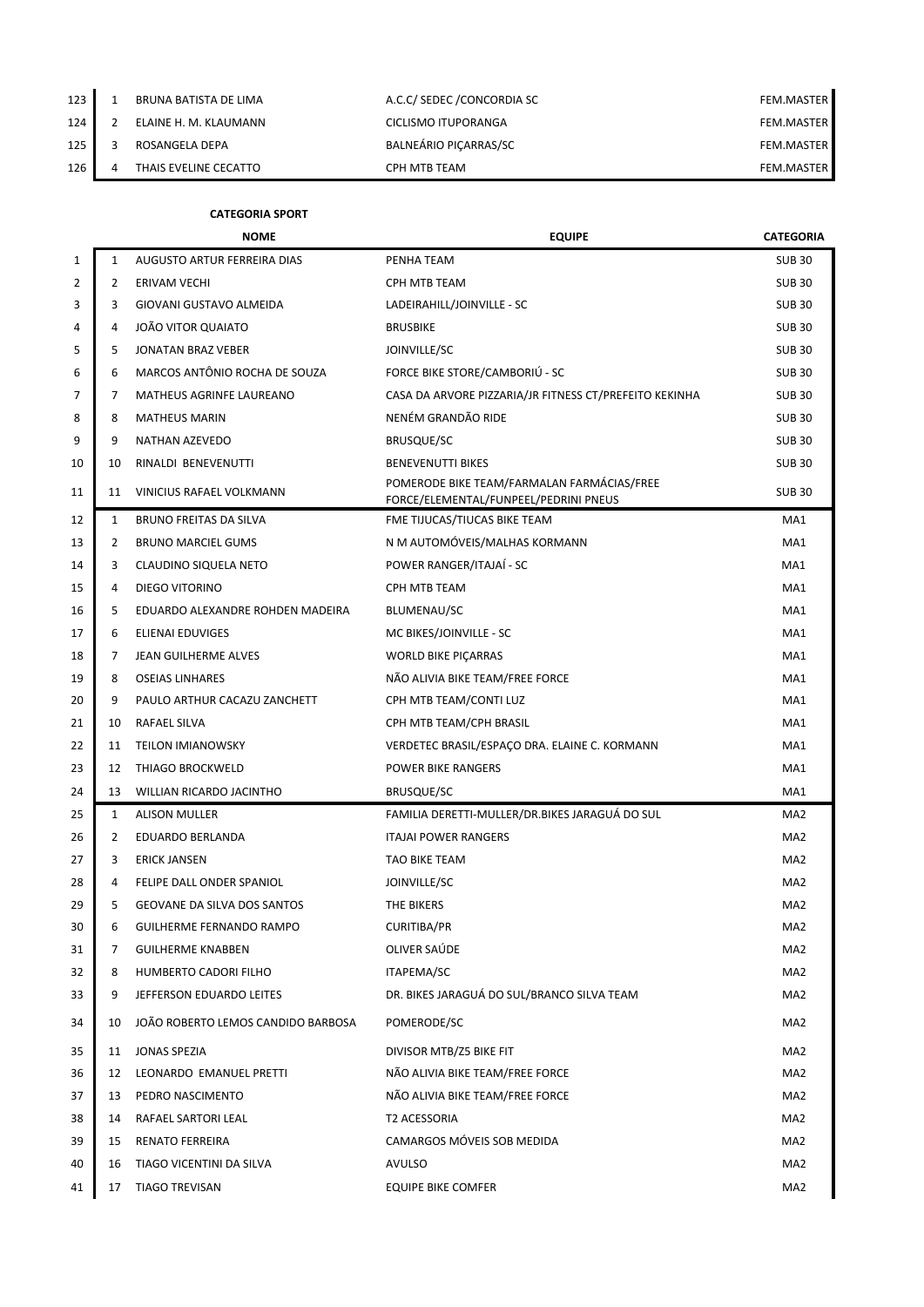| 123 |   | BRUNA BATISTA DE LIMA | A.C.C/ SEDEC /CONCORDIA SC   | FEM.MASTER |
|-----|---|-----------------------|------------------------------|------------|
| 124 |   | ELAINE H. M. KLAUMANN | CICLISMO ITUPORANGA          | FEM.MASTER |
| 125 |   | ROSANGELA DEPA        | <b>BALNEÁRIO PICARRAS/SC</b> | FEM.MASTER |
| 126 | 4 | THAIS EVELINE CECATTO | CPH MTB TEAM                 | FEM.MASTER |

**CATEGORIA SPORT**

|    |                | <b>NOME</b>                        | <b>EQUIPE</b>                                                                       | <b>CATEGORIA</b> |
|----|----------------|------------------------------------|-------------------------------------------------------------------------------------|------------------|
| 1  | 1              | AUGUSTO ARTUR FERREIRA DIAS        | PENHA TEAM                                                                          | <b>SUB30</b>     |
| 2  | 2              | ERIVAM VECHI                       | CPH MTB TEAM                                                                        | <b>SUB30</b>     |
| 3  | 3              | GIOVANI GUSTAVO ALMEIDA            | LADEIRAHILL/JOINVILLE - SC                                                          | <b>SUB 30</b>    |
| 4  | 4              | JOÃO VITOR QUAIATO                 | <b>BRUSBIKE</b>                                                                     | <b>SUB30</b>     |
| 5  | 5              | <b>JONATAN BRAZ VEBER</b>          | JOINVILLE/SC                                                                        | <b>SUB 30</b>    |
| 6  | 6              | MARCOS ANTÔNIO ROCHA DE SOUZA      | FORCE BIKE STORE/CAMBORIÚ - SC                                                      | <b>SUB 30</b>    |
| 7  | $\overline{7}$ | <b>MATHEUS AGRINFE LAUREANO</b>    | CASA DA ARVORE PIZZARIA/JR FITNESS CT/PREFEITO KEKINHA                              | <b>SUB 30</b>    |
| 8  | 8              | <b>MATHEUS MARIN</b>               | NENÉM GRANDÃO RIDE                                                                  | <b>SUB 30</b>    |
| 9  | 9              | <b>NATHAN AZEVEDO</b>              | <b>BRUSQUE/SC</b>                                                                   | <b>SUB 30</b>    |
| 10 | 10             | RINALDI BENEVENUTTI                | <b>BENEVENUTTI BIKES</b>                                                            | <b>SUB 30</b>    |
| 11 | 11             | VINICIUS RAFAEL VOLKMANN           | POMERODE BIKE TEAM/FARMALAN FARMÁCIAS/FREE<br>FORCE/ELEMENTAL/FUNPEEL/PEDRINI PNEUS | <b>SUB30</b>     |
| 12 | 1              | BRUNO FREITAS DA SILVA             | FME TIJUCAS/TIUCAS BIKE TEAM                                                        | MA1              |
| 13 | 2              | <b>BRUNO MARCIEL GUMS</b>          | N M AUTOMÓVEIS/MALHAS KORMANN                                                       | MA1              |
| 14 | 3              | CLAUDINO SIQUELA NETO              | POWER RANGER/ITAJAÍ - SC                                                            | MA1              |
| 15 | 4              | DIEGO VITORINO                     | CPH MTB TEAM                                                                        | MA1              |
| 16 | 5              | EDUARDO ALEXANDRE ROHDEN MADEIRA   | BLUMENAU/SC                                                                         | MA1              |
| 17 | 6              | ELIENAI EDUVIGES                   | MC BIKES/JOINVILLE - SC                                                             | MA1              |
| 18 | 7              | <b>JEAN GUILHERME ALVES</b>        | <b>WORLD BIKE PICARRAS</b>                                                          | MA1              |
| 19 | 8              | <b>OSEIAS LINHARES</b>             | NÃO ALIVIA BIKE TEAM/FREE FORCE                                                     | MA1              |
| 20 | 9              | PAULO ARTHUR CACAZU ZANCHETT       | CPH MTB TEAM/CONTI LUZ                                                              | MA1              |
| 21 | 10             | RAFAEL SILVA                       | CPH MTB TEAM/CPH BRASIL                                                             | MA1              |
| 22 | 11             | <b>TEILON IMIANOWSKY</b>           | VERDETEC BRASIL/ESPAÇO DRA. ELAINE C. KORMANN                                       | MA1              |
| 23 | 12             | THIAGO BROCKWELD                   | <b>POWER BIKE RANGERS</b>                                                           | MA1              |
| 24 | 13             | WILLIAN RICARDO JACINTHO           | <b>BRUSQUE/SC</b>                                                                   | MA1              |
| 25 | 1              | <b>ALISON MULLER</b>               | FAMILIA DERETTI-MULLER/DR.BIKES JARAGUÁ DO SUL                                      | MA <sub>2</sub>  |
| 26 | 2              | EDUARDO BERLANDA                   | <b>ITAJAI POWER RANGERS</b>                                                         | MA <sub>2</sub>  |
| 27 | 3              | <b>ERICK JANSEN</b>                | TAO BIKE TEAM                                                                       | MA <sub>2</sub>  |
| 28 | 4              | FELIPE DALL ONDER SPANIOL          | JOINVILLE/SC                                                                        | MA <sub>2</sub>  |
| 29 | 5              | GEOVANE DA SILVA DOS SANTOS        | THE BIKERS                                                                          | MA <sub>2</sub>  |
| 30 | 6              | GUILHERME FERNANDO RAMPO           | CURITIBA/PR                                                                         | MA <sub>2</sub>  |
| 31 | 7              | <b>GUILHERME KNABBEN</b>           | OLIVER SAÚDE                                                                        | MA <sub>2</sub>  |
| 32 | 8              | HUMBERTO CADORI FILHO              | <b>ITAPEMA/SC</b>                                                                   | MA <sub>2</sub>  |
| 33 | 9              | JEFFERSON EDUARDO LEITES           | DR. BIKES JARAGUÁ DO SUL/BRANCO SILVA TEAM                                          | MA <sub>2</sub>  |
| 34 | 10             | JOÃO ROBERTO LEMOS CANDIDO BARBOSA | POMERODE/SC                                                                         | MA2              |
| 35 | 11             | <b>JONAS SPEZIA</b>                | DIVISOR MTB/Z5 BIKE FIT                                                             | MA <sub>2</sub>  |
| 36 | 12             | LEONARDO EMANUEL PRETTI            | NÃO ALIVIA BIKE TEAM/FREE FORCE                                                     | MA2              |
| 37 | 13             | PEDRO NASCIMENTO                   | NÃO ALIVIA BIKE TEAM/FREE FORCE                                                     | MA <sub>2</sub>  |
| 38 | 14             | RAFAEL SARTORI LEAL                | <b>T2 ACESSORIA</b>                                                                 | MA <sub>2</sub>  |
| 39 | 15             | <b>RENATO FERREIRA</b>             | CAMARGOS MÓVEIS SOB MEDIDA                                                          | MA2              |
| 40 | 16             | TIAGO VICENTINI DA SILVA           | AVULSO                                                                              | MA2              |
| 41 | 17             | <b>TIAGO TREVISAN</b>              | <b>EQUIPE BIKE COMFER</b>                                                           | MA <sub>2</sub>  |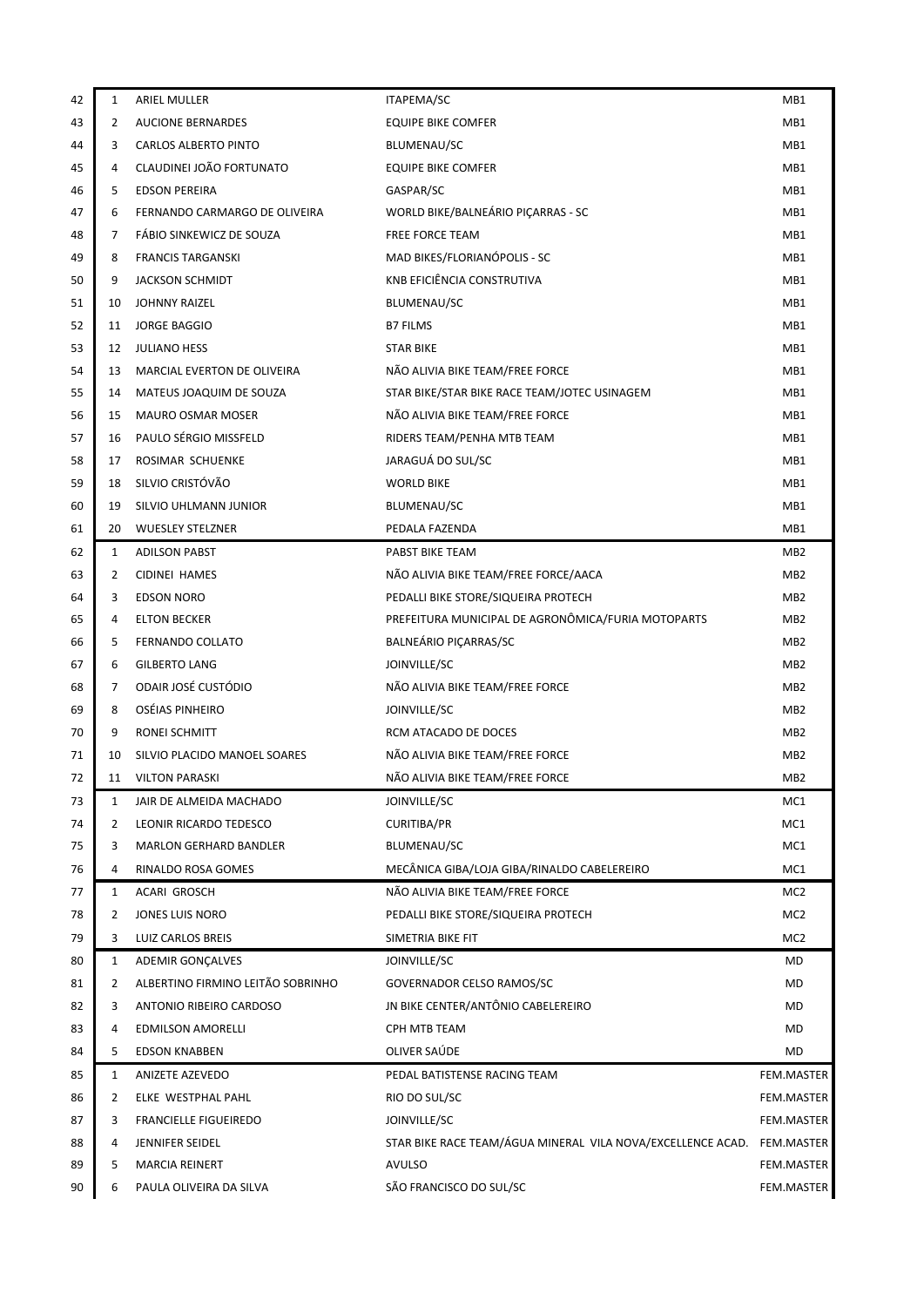| 42       | $\mathbf{1}$ | <b>ARIEL MULLER</b>                                  | ITAPEMA/SC                                                             | MB1                                |
|----------|--------------|------------------------------------------------------|------------------------------------------------------------------------|------------------------------------|
| 43       | 2            | <b>AUCIONE BERNARDES</b>                             | <b>EQUIPE BIKE COMFER</b>                                              | MB1                                |
| 44       | 3            | <b>CARLOS ALBERTO PINTO</b>                          | BLUMENAU/SC                                                            | MB1                                |
| 45       | 4            | CLAUDINEI JOÃO FORTUNATO                             | <b>EQUIPE BIKE COMFER</b>                                              | MB1                                |
| 46       | 5            | <b>EDSON PEREIRA</b>                                 | GASPAR/SC                                                              | MB1                                |
| 47       | 6            | FERNANDO CARMARGO DE OLIVEIRA                        | WORLD BIKE/BALNEÁRIO PICARRAS - SC                                     | MB1                                |
| 48       | 7            | FABIO SINKEWICZ DE SOUZA                             | <b>FREE FORCE TEAM</b>                                                 | MB1                                |
| 49       | 8            | <b>FRANCIS TARGANSKI</b>                             | MAD BIKES/FLORIANÓPOLIS - SC                                           | MB1                                |
| 50       | 9            | <b>JACKSON SCHMIDT</b>                               | KNB EFICIÊNCIA CONSTRUTIVA                                             | MB1                                |
| 51       | 10           | JOHNNY RAIZEL                                        | BLUMENAU/SC                                                            | MB1                                |
| 52       | 11           | JORGE BAGGIO                                         | <b>B7 FILMS</b>                                                        | MB <sub>1</sub>                    |
| 53       | 12           | <b>JULIANO HESS</b>                                  | <b>STAR BIKE</b>                                                       | MB1                                |
| 54       | 13           | MARCIAL EVERTON DE OLIVEIRA                          | NÃO ALIVIA BIKE TEAM/FREE FORCE                                        | MB1                                |
| 55       | 14           | MATEUS JOAQUIM DE SOUZA                              | STAR BIKE/STAR BIKE RACE TEAM/JOTEC USINAGEM                           | MB1                                |
| 56       | 15           | <b>MAURO OSMAR MOSER</b>                             | NÃO ALIVIA BIKE TEAM/FREE FORCE                                        | MB1                                |
| 57       | 16           | PAULO SÉRGIO MISSFELD                                | RIDERS TEAM/PENHA MTB TEAM                                             | MB1                                |
| 58       | 17           | ROSIMAR SCHUENKE                                     | JARAGUÁ DO SUL/SC                                                      | MB1                                |
| 59       | 18           | SILVIO CRISTÓVÃO                                     | <b>WORLD BIKE</b>                                                      | MB <sub>1</sub>                    |
| 60       | 19           | SILVIO UHLMANN JUNIOR                                | BLUMENAU/SC                                                            | MB1                                |
| 61       | 20           | <b>WUESLEY STELZNER</b>                              | PEDALA FAZENDA                                                         | MB1                                |
| 62       | 1            | <b>ADILSON PABST</b>                                 | PABST BIKE TEAM                                                        | MB <sub>2</sub>                    |
| 63       | 2            | <b>CIDINEI HAMES</b>                                 | NÃO ALIVIA BIKE TEAM/FREE FORCE/AACA                                   | MB <sub>2</sub>                    |
| 64       | 3            | <b>EDSON NORO</b>                                    | PEDALLI BIKE STORE/SIQUEIRA PROTECH                                    | MB <sub>2</sub>                    |
| 65       | 4            | <b>ELTON BECKER</b>                                  | PREFEITURA MUNICIPAL DE AGRONÔMICA/FURIA MOTOPARTS                     | MB <sub>2</sub>                    |
| 66       | 5            | FERNANDO COLLATO                                     | BALNEÁRIO PIÇARRAS/SC                                                  | MB <sub>2</sub>                    |
| 67       | 6            | <b>GILBERTO LANG</b>                                 | JOINVILLE/SC                                                           | MB <sub>2</sub>                    |
| 68       | 7            | ODAIR JOSÉ CUSTÓDIO                                  | NÃO ALIVIA BIKE TEAM/FREE FORCE                                        | MB <sub>2</sub>                    |
| 69       | 8            | OSÉIAS PINHEIRO                                      | JOINVILLE/SC                                                           | MB <sub>2</sub>                    |
| 70<br>71 | 9<br>10      | <b>RONEI SCHMITT</b><br>SILVIO PLACIDO MANOEL SOARES | RCM ATACADO DE DOCES<br>NÃO ALIVIA BIKE TEAM/FREE FORCE                | MB <sub>2</sub><br>MB <sub>2</sub> |
|          |              |                                                      |                                                                        | MB <sub>2</sub>                    |
| 72<br>73 | 11<br>1      | <b>VILTON PARASKI</b><br>JAIR DE ALMEIDA MACHADO     | NÃO ALIVIA BIKE TEAM/FREE FORCE<br>JOINVILLE/SC                        | MC1                                |
| 74       | 2            | LEONIR RICARDO TEDESCO                               | <b>CURITIBA/PR</b>                                                     | MC1                                |
| 75       | 3            | <b>MARLON GERHARD BANDLER</b>                        | BLUMENAU/SC                                                            | MC1                                |
| 76       | 4            | RINALDO ROSA GOMES                                   | MECÂNICA GIBA/LOJA GIBA/RINALDO CABELEREIRO                            | MC1                                |
| 77       | $\mathbf{1}$ | ACARI GROSCH                                         | NÃO ALIVIA BIKE TEAM/FREE FORCE                                        | MC <sub>2</sub>                    |
| 78       | 2            | JONES LUIS NORO                                      | PEDALLI BIKE STORE/SIQUEIRA PROTECH                                    | MC <sub>2</sub>                    |
| 79       | 3            | LUIZ CARLOS BREIS                                    | SIMETRIA BIKE FIT                                                      | MC <sub>2</sub>                    |
| 80       | 1            | <b>ADEMIR GONCALVES</b>                              | JOINVILLE/SC                                                           | MD                                 |
| 81       | 2            | ALBERTINO FIRMINO LEITÃO SOBRINHO                    | GOVERNADOR CELSO RAMOS/SC                                              | MD                                 |
| 82       | 3            | ANTONIO RIBEIRO CARDOSO                              | JN BIKE CENTER/ANTÔNIO CABELEREIRO                                     | MD                                 |
| 83       | 4            | <b>EDMILSON AMORELLI</b>                             | CPH MTB TEAM                                                           | MD                                 |
| 84       | 5            | <b>EDSON KNABBEN</b>                                 | OLIVER SAÚDE                                                           | MD                                 |
| 85       | 1            | ANIZETE AZEVEDO                                      | PEDAL BATISTENSE RACING TEAM                                           | FEM.MASTER                         |
| 86       | 2            | ELKE WESTPHAL PAHL                                   | RIO DO SUL/SC                                                          | FEM.MASTER                         |
| 87       | 3            | <b>FRANCIELLE FIGUEIREDO</b>                         | JOINVILLE/SC                                                           | FEM.MASTER                         |
| 88       | 4            | JENNIFER SEIDEL                                      | STAR BIKE RACE TEAM/ÁGUA MINERAL VILA NOVA/EXCELLENCE ACAD. FEM.MASTER |                                    |
| 89       | 5            | <b>MARCIA REINERT</b>                                | <b>AVULSO</b>                                                          | FEM.MASTER                         |
| 90       | 6            | PAULA OLIVEIRA DA SILVA                              | SÃO FRANCISCO DO SUL/SC                                                | FEM.MASTER                         |